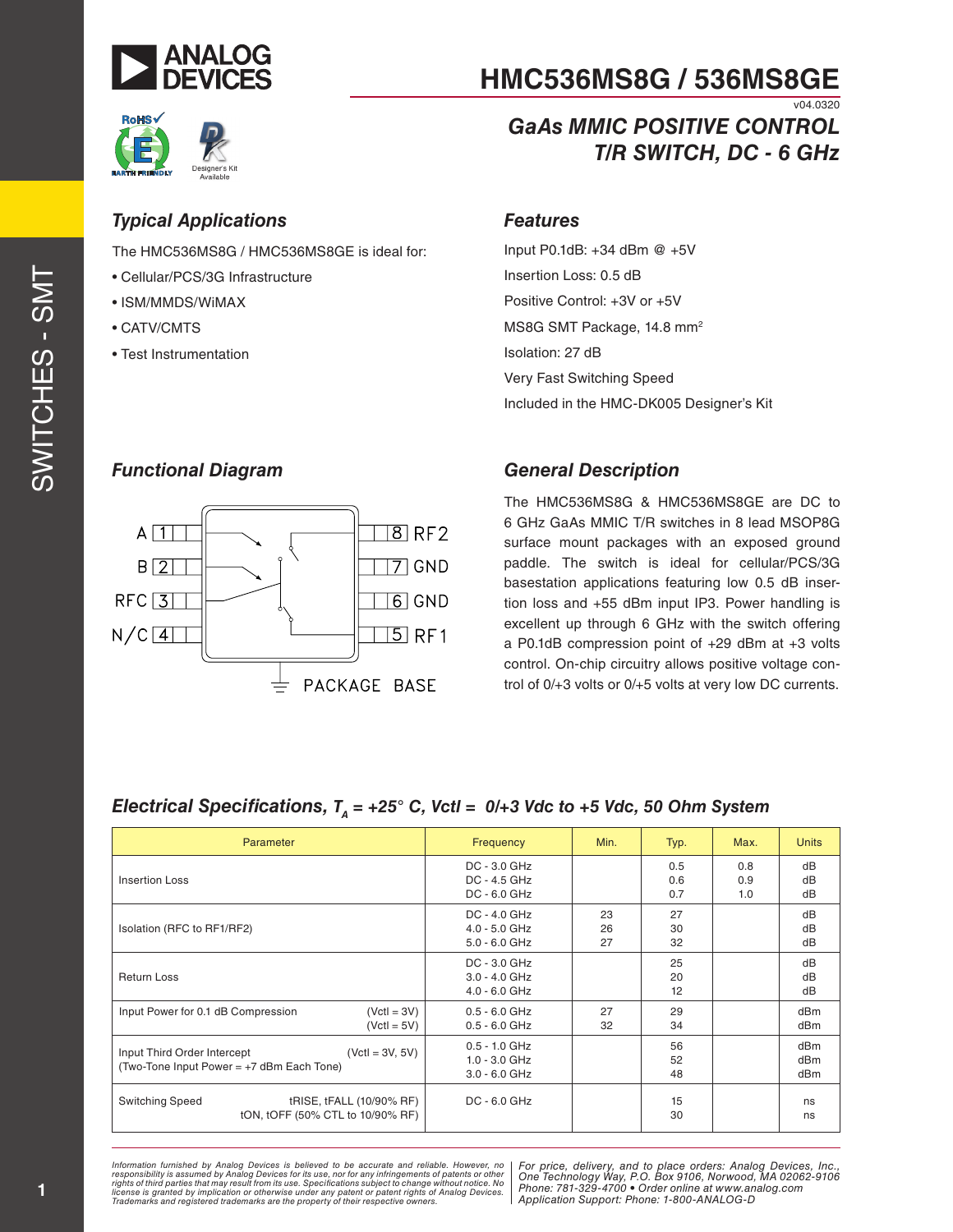



*GaAs MMIC POSITIVE CONTROL*

*T/R SWITCH, DC - 6 GHz*

v04.0320

# esigner's Ki Available

## *Typical Applications*

The HMC536MS8G / HMC536MS8GE is ideal for:

- Cellular/PCS/3G Infrastructure
- ISM/MMDS/WiMAX
- CATV/CMTS
- Test Instrumentation

## *Features*

Input P0.1dB: +34 dBm @ +5V Insertion Loss: 0.5 dB Positive Control: +3V or +5V MS8G SMT Package, 14.8 mm<sup>2</sup> Isolation: 27 dB Very Fast Switching Speed Included in the HMC-DK005 Designer's Kit

## *Functional Diagram*



## *General Description*

The HMC536MS8G & HMC536MS8GE are DC to 6 GHz GaAs MMIC T/R switches in 8 lead MSOP8G surface mount packages with an exposed ground paddle. The switch is ideal for cellular/PCS/3G basestation applications featuring low 0.5 dB insertion loss and +55 dBm input IP3. Power handling is excellent up through 6 GHz with the switch offering a P0.1dB compression point of +29 dBm at +3 volts control. On-chip circuitry allows positive voltage control of 0/+3 volts or 0/+5 volts at very low DC currents.

## *Electrical Specifications, T<sub>a</sub> = +25° C, Vctl = 0/+3 Vdc to +5 Vdc, 50 Ohm System*

| Parameter                                                                                     | Frequency                                             | Min.           | Typ.              | Max.              | <b>Units</b>      |
|-----------------------------------------------------------------------------------------------|-------------------------------------------------------|----------------|-------------------|-------------------|-------------------|
| <b>Insertion Loss</b>                                                                         | $DC - 3.0 GHz$<br>DC - 4.5 GHz<br>$DC - 6.0$ GHz      |                | 0.5<br>0.6<br>0.7 | 0.8<br>0.9<br>1.0 | dB<br>dB<br>dB    |
| Isolation (RFC to RF1/RF2)                                                                    | DC - 4.0 GHz<br>$4.0 - 5.0$ GHz<br>$5.0 - 6.0$ GHz    | 23<br>26<br>27 | 27<br>30<br>32    |                   | dB<br>dB<br>dB    |
| <b>Return Loss</b>                                                                            | $DC - 3.0 GHz$<br>$3.0 - 4.0$ GHz<br>$4.0 - 6.0$ GHz  |                | 25<br>20<br>12    |                   | dB<br>dB<br>dB    |
| Input Power for 0.1 dB Compression<br>$(VctI = 3V)$<br>$(VctI = 5V)$                          | $0.5 - 6.0$ GHz<br>$0.5 - 6.0$ GHz                    | 27<br>32       | 29<br>34          |                   | dBm<br>dBm        |
| Input Third Order Intercept<br>$(VctI = 3V, 5V)$<br>(Two-Tone Input Power = +7 dBm Each Tone) | $0.5 - 1.0$ GHz<br>$1.0 - 3.0$ GHz<br>$3.0 - 6.0$ GHz |                | 56<br>52<br>48    |                   | dBm<br>dBm<br>dBm |
| <b>Switching Speed</b><br>tRISE, tFALL (10/90% RF)<br>tON, tOFF (50% CTL to 10/90% RF)        | DC - 6.0 GHz                                          |                | 15<br>30          |                   | ns<br>ns          |

*formation furnished by Analog Devices is believed to be accurate and reliable. However, no* | For price, delivery, and to place orders: Analog Devices, Inc. ase, not for any immigements of patents of other<br>ecifications subject to change without notice. No all planned 704, 200, 4700 *+ Atent or patent rights of Analog Devices.* Prioric. *101-329-41*<br>Annication Support Information furnished by Analog Devices is believed to be accurate and reliable. However, no<br>responsibility is assumed by Analog Devices for its use, nor for any infringements of patents or other<br>rights of third parties th *Trademarks and registered trademarks are the property of their respective owners.* 

*For price, delivery, and to place orders: Analog Devices, Inc., One Technology Way, P.O. Box 9106, Norwood, MA 02062-9106 Phone: 781-329-4700 • Order online at www.analog.com Application Support: Phone: 1-800-ANALOG-D*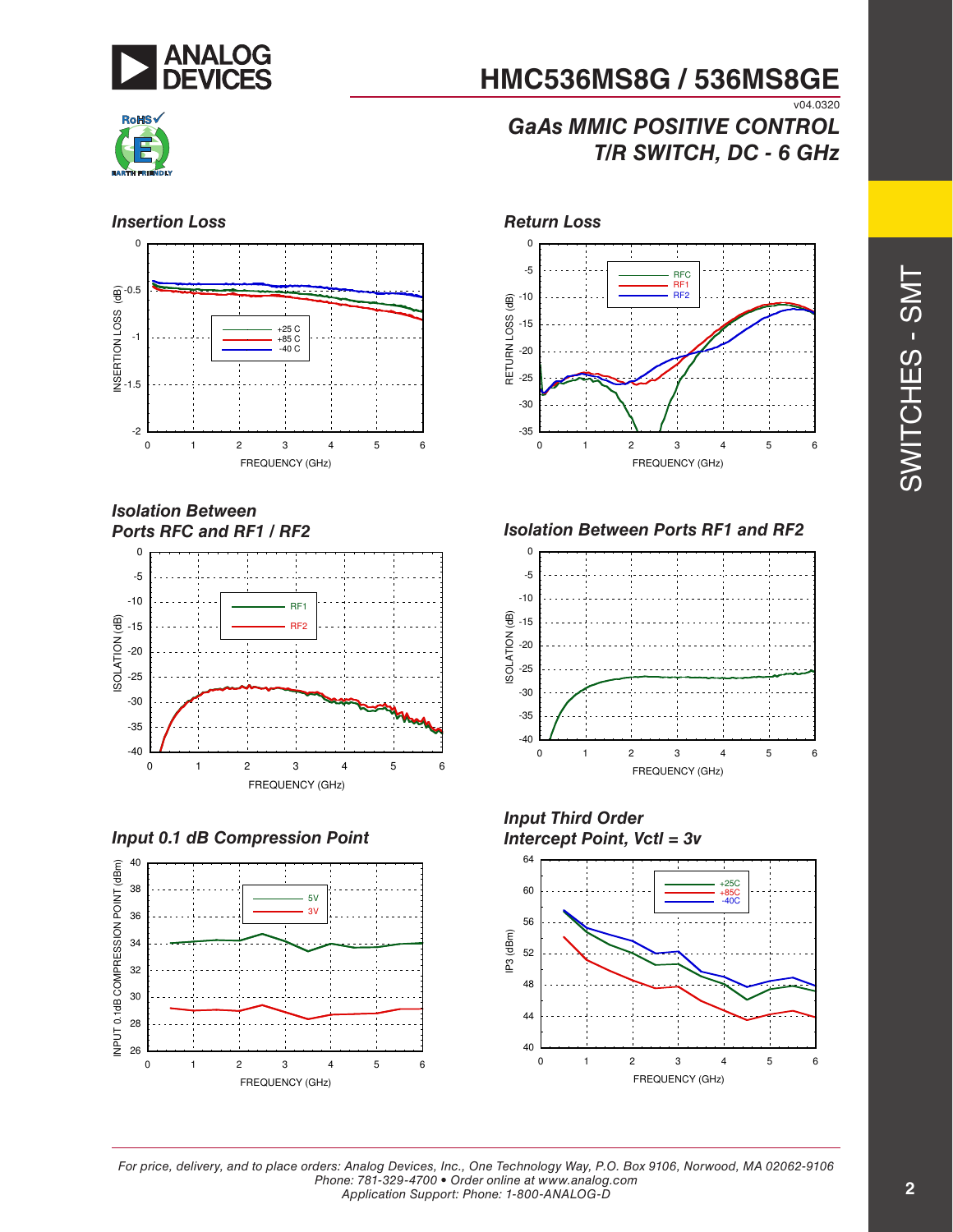



## **HMC536MS8G / 536MS8GE** v04.0320

## *GaAs MMIC POSITIVE CONTROL T/R SWITCH, DC - 6 GHz*



*Isolation Between Ports RFC and RF1 / RF2*



*Input 0.1 dB Compression Point*





*Isolation Between Ports RF1 and RF2*







*For price, delivery, and to place orders: Analog Devices, Inc., One Technology Way, P.O. Box 9106, Norwood, MA 02062-9106 Phone: 781-329-4700 • Order online at www.analog.com Application Support: Phone: 1-800-ANALOG-D*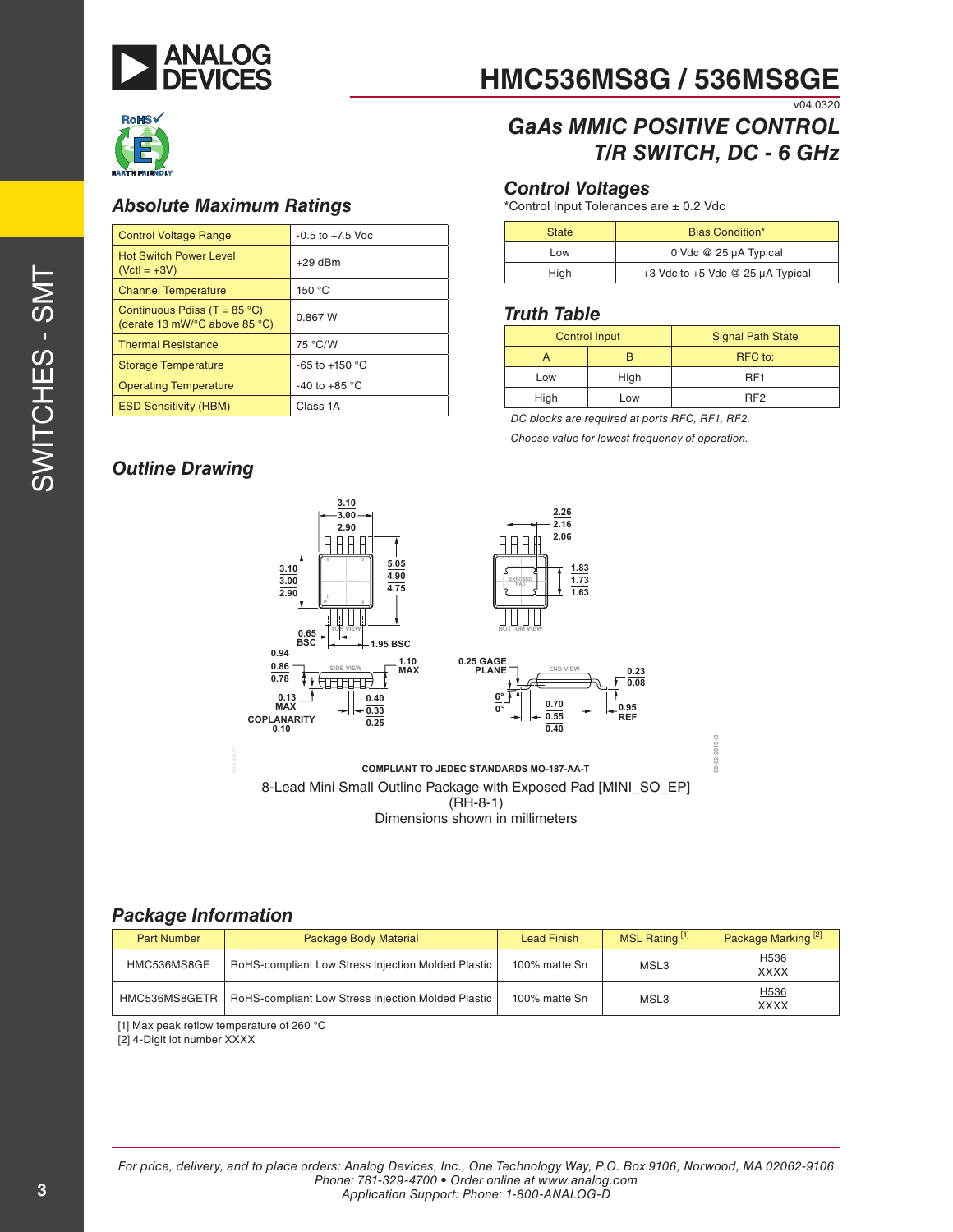



## *Absolute Maximum Ratings*

| <b>Control Voltage Range</b>                                                              | $-0.5$ to $+7.5$ Vdc     |
|-------------------------------------------------------------------------------------------|--------------------------|
| <b>Hot Switch Power Level</b><br>$(VctI = +3V)$                                           | $+29$ dBm                |
| <b>Channel Temperature</b>                                                                | 150 °C                   |
| Continuous Pdiss (T = $85^{\circ}$ C)<br>(derate 13 mW/ $\degree$ C above 85 $\degree$ C) | 0.867 W                  |
| <b>Thermal Resistance</b>                                                                 | 75 °C/W                  |
| <b>Storage Temperature</b>                                                                | -65 to +150 $^{\circ}$ C |
| <b>Operating Temperature</b>                                                              | -40 to +85 $^{\circ}$ C  |
| <b>ESD Sensitivity (HBM)</b>                                                              | Class 1A                 |

### **HMC536MS8G / 536MS8GE** v04.0320

## *GaAs MMIC POSITIVE CONTROL T/R SWITCH, DC - 6 GHz*

### *Control Voltages*

\*Control Input Tolerances are ± 0.2 Vdc

| <b>State</b> | Bias Condition*                           |
|--------------|-------------------------------------------|
| Low          | 0 Vdc @ 25 µA Typical                     |
| High         | $+3$ Vdc to $+5$ Vdc @ 25 $\mu$ A Typical |

#### *Truth Table*

| <b>Control Input</b> |      | <b>Signal Path State</b> |  |
|----------------------|------|--------------------------|--|
|                      |      | RFC to:                  |  |
| Low                  | High | RF <sub>1</sub>          |  |
| High                 | Low  | RF <sub>2</sub>          |  |

*DC blocks are required at ports RFC, RF1, RF2.*

**Choose value for lowest frequency of operation.** 

## *Outline Drawing*



Dimensions shown in millimeters

## *Package Information*

| <b>Part Number</b> | Package Body Material                              | <b>Lead Finish</b> | MSL Rating [1] | Package Marking <sup>[2]</sup>  |
|--------------------|----------------------------------------------------|--------------------|----------------|---------------------------------|
| HMC536MS8GE        | RoHS-compliant Low Stress Injection Molded Plastic | 100% matte Sn      | MSL3           | H536<br><b>XXXX</b>             |
| HMC536MS8GETR      | RoHS-compliant Low Stress Injection Molded Plastic | 100% matte Sn      | MSL3           | H <sub>536</sub><br><b>XXXX</b> |

[1] Max peak reflow temperature of 260 °C

[2] 4-Digit lot number XXXX